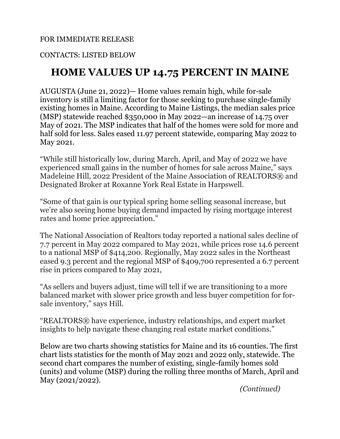### FOR IMMEDIATE RELEASE

## CONTACTS: LISTED BELOW

# **HOME VALUES UP 14.75 PERCENT IN MAINE**

AUGUSTA (June 21, 2022)— Home values remain high, while for-sale inventory is still a limiting factor for those seeking to purchase single-family existing homes in Maine. According to Maine Listings, the median sales price (MSP) statewide reached \$350,000 in May 2022—an increase of 14.75 over May of 2021. The MSP indicates that half of the homes were sold for more and half sold for less. Sales eased 11.97 percent statewide, comparing May 2022 to May 2021.

"While still historically low, during March, April, and May of 2022 we have experienced small gains in the number of homes for sale across Maine," says Madeleine Hill, 2022 President of the Maine Association of REALTORS® and Designated Broker at Roxanne York Real Estate in Harpswell.

"Some of that gain is our typical spring home selling seasonal increase, but we're also seeing home buying demand impacted by rising mortgage interest rates and home price appreciation."

The National Association of Realtors today reported a national sales decline of 7.7 percent in May 2022 compared to May 2021, while prices rose 14.6 percent to a national MSP of \$414,200. Regionally, May 2022 sales in the Northeast eased 9.3 percent and the regional MSP of \$409,700 represented a 6.7 percent rise in prices compared to May 2021,

"As sellers and buyers adjust, time will tell if we are transitioning to a more balanced market with slower price growth and less buyer competition for forsale inventory," says Hill.

"REALTORS® have experience, industry relationships, and expert market insights to help navigate these changing real estate market conditions."

Below are two charts showing statistics for Maine and its 16 counties. The first chart lists statistics for the month of May 2021 and 2022 only, statewide. The second chart compares the number of existing, single-family homes sold (units) and volume (MSP) during the rolling three months of March, April and May (2021/2022).

*(Continued)*